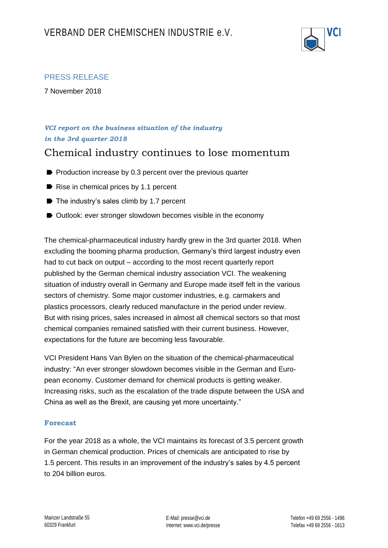

## PRESS RELEASE

7 November 2018

## *VCI report on the business situation of the industry in the 3rd quarter 2018*

# Chemical industry continues to lose momentum

- $\blacktriangleright$  Production increase by 0.3 percent over the previous quarter
- Rise in chemical prices by 1.1 percent
- $\triangleright$  The industry's sales climb by 1.7 percent
- Outlook: ever stronger slowdown becomes visible in the economy

The chemical-pharmaceutical industry hardly grew in the 3rd quarter 2018. When excluding the booming pharma production, Germany's third largest industry even had to cut back on output – according to the most recent quarterly report published by the German chemical industry association VCI. The weakening situation of industry overall in Germany and Europe made itself felt in the various sectors of chemistry. Some major customer industries, e.g. carmakers and plastics processors, clearly reduced manufacture in the period under review. But with rising prices, sales increased in almost all chemical sectors so that most chemical companies remained satisfied with their current business. However, expectations for the future are becoming less favourable.

VCI President Hans Van Bylen on the situation of the chemical-pharmaceutical industry: "An ever stronger slowdown becomes visible in the German and European economy. Customer demand for chemical products is getting weaker. Increasing risks, such as the escalation of the trade dispute between the USA and China as well as the Brexit, are causing yet more uncertainty."

#### **Forecast**

For the year 2018 as a whole, the VCI maintains its forecast of 3.5 percent growth in German chemical production. Prices of chemicals are anticipated to rise by 1.5 percent. This results in an improvement of the industry's sales by 4.5 percent to 204 billion euros.